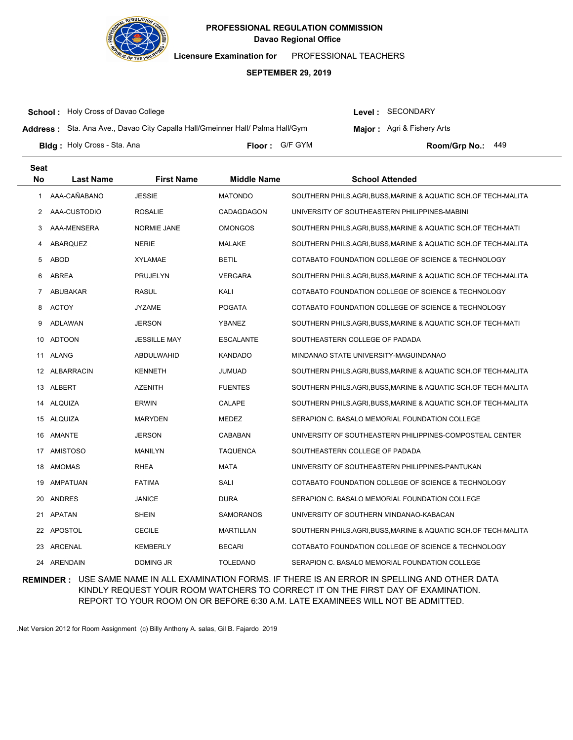

**Licensure Examination for**  PROFESSIONAL TEACHERS

#### **SEPTEMBER 29, 2019**

**School :** Holy Cross of Davao College

Level : SECONDARY

**Major:** Agri & Fishery Arts

**Address :** Sta. Ana Ave., Davao City Capalla Hall/Gmeinner Hall/ Palma Hall/Gym

**Bldg : Floor : Room/Grp No.:** Holy Cross - Sta. Ana Floor: G/F GYM Room/Gro No.: 449

**Last Name First Name Middle Name School Attended Seat No** 1 AAA-CAÑABANO JESSIE MATONDO SOUTHERN PHILS.AGRI,BUSS,MARINE & AQUATIC SCH.OF TECH-MALITA 2 AAA-CUSTODIO ROSALIE CADAGDAGON UNIVERSITY OF SOUTHEASTERN PHILIPPINES-MABINI 3 AAA-MENSERA NORMIE JANE OMONGOS SOUTHERN PHILS.AGRI,BUSS,MARINE & AQUATIC SCH.OF TECH-MATI 4 ABARQUEZ NERIE MALAKE SOUTHERN PHILS.AGRI,BUSS,MARINE & AQUATIC SCH.OF TECH-MALITA 5 ABOD XYLAMAE BETIL COTABATO FOUNDATION COLLEGE OF SCIENCE & TECHNOLOGY 6 ABREA PRUJELYN VERGARA SOUTHERN PHILS.AGRI,BUSS,MARINE & AQUATIC SCH.OF TECH-MALITA 7 ABUBAKAR RASUL KALI KALI COTABATO FOUNDATION COLLEGE OF SCIENCE & TECHNOLOGY 8 ACTOY JYZAME POGATA COTABATO FOUNDATION COLLEGE OF SCIENCE & TECHNOLOGY 9 ADLAWAN JERSON YBANEZ SOUTHERN PHILS.AGRI,BUSS,MARINE & AQUATIC SCH.OF TECH-MATI 10 ADTOON JESSILLE MAY ESCALANTE SOUTHEASTERN COLLEGE OF PADADA 11 ALANG ABDULWAHID KANDADO MINDANAO STATE UNIVERSITY-MAGUINDANAO 12 ALBARRACIN KENNETH JUMUAD SOUTHERN PHILS.AGRI,BUSS,MARINE & AQUATIC SCH.OF TECH-MALITA 13 ALBERT AZENITH FUENTES SOUTHERN PHILS.AGRI,BUSS,MARINE & AQUATIC SCH.OF TECH-MALITA 14 ALQUIZA ERWIN CALAPE SOUTHERN PHILS.AGRI,BUSS,MARINE & AQUATIC SCH.OF TECH-MALITA 15 ALQUIZA MARYDEN MEDEZ SERAPION C. BASALO MEMORIAL FOUNDATION COLLEGE 16 AMANTE JERSON CABABAN UNIVERSITY OF SOUTHEASTERN PHILIPPINES-COMPOSTEAL CENTER 17 AMISTOSO MANILYN TAQUENCA SOUTHEASTERN COLLEGE OF PADADA 18 AMOMAS RHEA MATA MATA UNIVERSITY OF SOUTHEASTERN PHILIPPINES-PANTUKAN 19 AMPATUAN FATIMA SALI COTABATO FOUNDATION COLLEGE OF SCIENCE & TECHNOLOGY 20 ANDRES JANICE DURA SERAPION C. BASALO MEMORIAL FOUNDATION COLLEGE 21 APATAN SHEIN SAMORANOS UNIVERSITY OF SOUTHERN MINDANAO-KABACAN 22 APOSTOL CECILE MARTILLAN SOUTHERN PHILS.AGRI,BUSS,MARINE & AQUATIC SCH.OF TECH-MALITA 23 ARCENAL KEMBERLY BECARI COTABATO FOUNDATION COLLEGE OF SCIENCE & TECHNOLOGY 24 ARENDAIN DOMING JR TOLEDANO SERAPION C. BASALO MEMORIAL FOUNDATION COLLEGE

**REMINDER :** USE SAME NAME IN ALL EXAMINATION FORMS. IF THERE IS AN ERROR IN SPELLING AND OTHER DATA KINDLY REQUEST YOUR ROOM WATCHERS TO CORRECT IT ON THE FIRST DAY OF EXAMINATION. REPORT TO YOUR ROOM ON OR BEFORE 6:30 A.M. LATE EXAMINEES WILL NOT BE ADMITTED.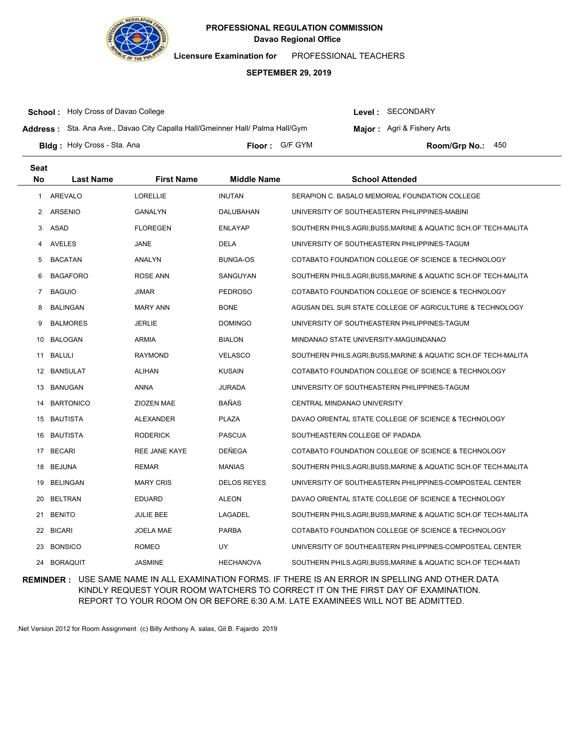

**Licensure Examination for**  PROFESSIONAL TEACHERS

### **SEPTEMBER 29, 2019**

**School :** Holy Cross of Davao College

Level : SECONDARY

**Address :** Sta. Ana Ave., Davao City Capalla Hall/Gmeinner Hall/ Palma Hall/Gym

**Major:** Agri & Fishery Arts

**Bldg : Floor : Room/Grp No.:** Holy Cross - Sta. Ana Floor: G/F GYM **Room/Grp No.: 450** 

| <b>Seat</b>    |                  |                      |                    |                                                                |
|----------------|------------------|----------------------|--------------------|----------------------------------------------------------------|
| <b>No</b>      | <b>Last Name</b> | <b>First Name</b>    | <b>Middle Name</b> | <b>School Attended</b>                                         |
| 1              | AREVALO          | <b>LORELLIE</b>      | <b>INUTAN</b>      | SERAPION C. BASALO MEMORIAL FOUNDATION COLLEGE                 |
| $\overline{2}$ | <b>ARSENIO</b>   | GANALYN              | DALUBAHAN          | UNIVERSITY OF SOUTHEASTERN PHILIPPINES-MABINI                  |
| 3              | ASAD             | <b>FLOREGEN</b>      | <b>ENLAYAP</b>     | SOUTHERN PHILS.AGRI,BUSS,MARINE & AQUATIC SCH.OF TECH-MALITA   |
| 4              | <b>AVELES</b>    | JANE                 | <b>DELA</b>        | UNIVERSITY OF SOUTHEASTERN PHILIPPINES-TAGUM                   |
| 5              | <b>BACATAN</b>   | ANALYN               | BUNGA-OS           | COTABATO FOUNDATION COLLEGE OF SCIENCE & TECHNOLOGY            |
| 6              | <b>BAGAFORO</b>  | <b>ROSE ANN</b>      | SANGUYAN           | SOUTHERN PHILS.AGRI, BUSS, MARINE & AQUATIC SCH.OF TECH-MALITA |
| 7              | <b>BAGUIO</b>    | JIMAR                | <b>PEDROSO</b>     | COTABATO FOUNDATION COLLEGE OF SCIENCE & TECHNOLOGY            |
| 8              | <b>BALINGAN</b>  | <b>MARY ANN</b>      | <b>BONE</b>        | AGUSAN DEL SUR STATE COLLEGE OF AGRICULTURE & TECHNOLOGY       |
| 9              | <b>BALMORES</b>  | <b>JERLIE</b>        | <b>DOMINGO</b>     | UNIVERSITY OF SOUTHEASTERN PHILIPPINES-TAGUM                   |
| 10             | <b>BALOGAN</b>   | <b>ARMIA</b>         | <b>BIALON</b>      | MINDANAO STATE UNIVERSITY-MAGUINDANAO                          |
| 11             | BALULI           | <b>RAYMOND</b>       | <b>VELASCO</b>     | SOUTHERN PHILS.AGRI, BUSS, MARINE & AQUATIC SCH.OF TECH-MALITA |
| 12             | <b>BANSULAT</b>  | <b>ALIHAN</b>        | <b>KUSAIN</b>      | COTABATO FOUNDATION COLLEGE OF SCIENCE & TECHNOLOGY            |
| 13             | <b>BANUGAN</b>   | <b>ANNA</b>          | <b>JURADA</b>      | UNIVERSITY OF SOUTHEASTERN PHILIPPINES-TAGUM                   |
| 14             | <b>BARTONICO</b> | ZIOZEN MAE           | <b>BAÑAS</b>       | CENTRAL MINDANAO UNIVERSITY                                    |
| 15             | <b>BAUTISTA</b>  | ALEXANDER            | <b>PLAZA</b>       | DAVAO ORIENTAL STATE COLLEGE OF SCIENCE & TECHNOLOGY           |
| 16             | <b>BAUTISTA</b>  | <b>RODERICK</b>      | <b>PASCUA</b>      | SOUTHEASTERN COLLEGE OF PADADA                                 |
| 17             | <b>BECARI</b>    | <b>REE JANE KAYE</b> | <b>DEÑEGA</b>      | COTABATO FOUNDATION COLLEGE OF SCIENCE & TECHNOLOGY            |
| 18             | <b>BEJUNA</b>    | <b>REMAR</b>         | <b>MANIAS</b>      | SOUTHERN PHILS.AGRI, BUSS, MARINE & AQUATIC SCH.OF TECH-MALITA |
| 19             | <b>BELINGAN</b>  | <b>MARY CRIS</b>     | <b>DELOS REYES</b> | UNIVERSITY OF SOUTHEASTERN PHILIPPINES-COMPOSTEAL CENTER       |
| 20             | <b>BELTRAN</b>   | <b>EDUARD</b>        | <b>ALEON</b>       | DAVAO ORIENTAL STATE COLLEGE OF SCIENCE & TECHNOLOGY           |
| 21             | <b>BENITO</b>    | <b>JULIE BEE</b>     | LAGADEL            | SOUTHERN PHILS.AGRI, BUSS, MARINE & AQUATIC SCH.OF TECH-MALITA |
| 22             | <b>BICARI</b>    | <b>JOELA MAE</b>     | <b>PARBA</b>       | COTABATO FOUNDATION COLLEGE OF SCIENCE & TECHNOLOGY            |
| 23             | <b>BONSICO</b>   | <b>ROMEO</b>         | UY                 | UNIVERSITY OF SOUTHEASTERN PHILIPPINES-COMPOSTEAL CENTER       |
| 24             | <b>BORAQUIT</b>  | <b>JASMINE</b>       | <b>HECHANOVA</b>   | SOUTHERN PHILS.AGRI, BUSS, MARINE & AQUATIC SCH.OF TECH-MATI   |

**REMINDER :** USE SAME NAME IN ALL EXAMINATION FORMS. IF THERE IS AN ERROR IN SPELLING AND OTHER DATA KINDLY REQUEST YOUR ROOM WATCHERS TO CORRECT IT ON THE FIRST DAY OF EXAMINATION. REPORT TO YOUR ROOM ON OR BEFORE 6:30 A.M. LATE EXAMINEES WILL NOT BE ADMITTED.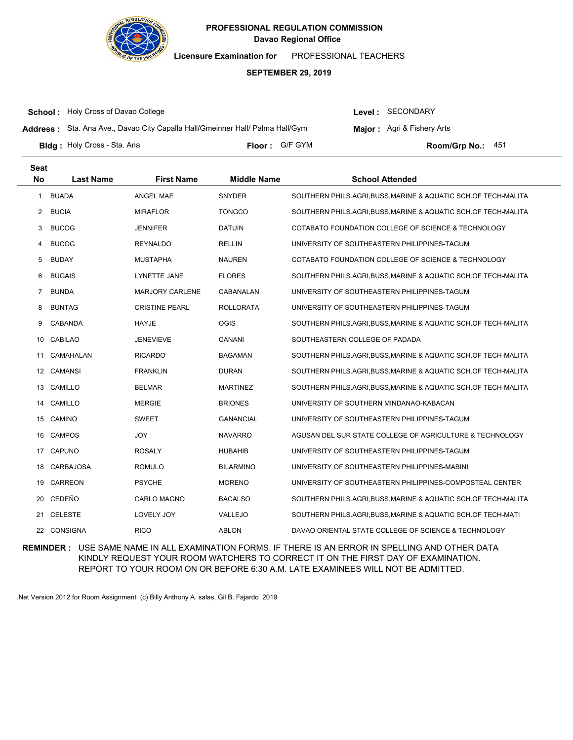

**Licensure Examination for**  PROFESSIONAL TEACHERS

### **SEPTEMBER 29, 2019**

**School :** Holy Cross of Davao College

Level : SECONDARY

**Major:** Agri & Fishery Arts

**Address :** Sta. Ana Ave., Davao City Capalla Hall/Gmeinner Hall/ Palma Hall/Gym

**Bldg : Floor : Room/Grp No.:** Holy Cross - Sta. Ana Floor: G/F GYM **Room/Grp No.: 451** 

| <b>Seat</b> |                  |                        |                    |                                                                |
|-------------|------------------|------------------------|--------------------|----------------------------------------------------------------|
| <b>No</b>   | <b>Last Name</b> | <b>First Name</b>      | <b>Middle Name</b> | <b>School Attended</b>                                         |
| 1           | <b>BUADA</b>     | <b>ANGEL MAE</b>       | SNYDER             | SOUTHERN PHILS.AGRI,BUSS,MARINE & AQUATIC SCH.OF TECH-MALITA   |
|             | 2 BUCIA          | <b>MIRAFLOR</b>        | <b>TONGCO</b>      | SOUTHERN PHILS.AGRI,BUSS,MARINE & AQUATIC SCH.OF TECH-MALITA   |
| 3           | <b>BUCOG</b>     | <b>JENNIFER</b>        | <b>DATUIN</b>      | COTABATO FOUNDATION COLLEGE OF SCIENCE & TECHNOLOGY            |
| 4           | <b>BUCOG</b>     | <b>REYNALDO</b>        | <b>RELLIN</b>      | UNIVERSITY OF SOUTHEASTERN PHILIPPINES-TAGUM                   |
| 5           | BUDAY            | <b>MUSTAPHA</b>        | <b>NAUREN</b>      | COTABATO FOUNDATION COLLEGE OF SCIENCE & TECHNOLOGY            |
| 6           | <b>BUGAIS</b>    | LYNETTE JANE           | <b>FLORES</b>      | SOUTHERN PHILS.AGRI, BUSS, MARINE & AQUATIC SCH.OF TECH-MALITA |
| 7           | <b>BUNDA</b>     | <b>MARJORY CARLENE</b> | CABANALAN          | UNIVERSITY OF SOUTHEASTERN PHILIPPINES-TAGUM                   |
| 8           | <b>BUNTAG</b>    | <b>CRISTINE PEARL</b>  | <b>ROLLORATA</b>   | UNIVERSITY OF SOUTHEASTERN PHILIPPINES-TAGUM                   |
| 9           | <b>CABANDA</b>   | HAYJE                  | <b>OGIS</b>        | SOUTHERN PHILS.AGRI,BUSS,MARINE & AQUATIC SCH.OF TECH-MALITA   |
| 10          | <b>CABILAO</b>   | <b>JENEVIEVE</b>       | CANANI             | SOUTHEASTERN COLLEGE OF PADADA                                 |
| 11          | CAMAHALAN        | <b>RICARDO</b>         | BAGAMAN            | SOUTHERN PHILS.AGRI,BUSS,MARINE & AQUATIC SCH.OF TECH-MALITA   |
| 12          | CAMANSI          | <b>FRANKLIN</b>        | <b>DURAN</b>       | SOUTHERN PHILS.AGRI,BUSS,MARINE & AQUATIC SCH.OF TECH-MALITA   |
| 13          | CAMILLO          | <b>BELMAR</b>          | <b>MARTINEZ</b>    | SOUTHERN PHILS.AGRI,BUSS,MARINE & AQUATIC SCH.OF TECH-MALITA   |
| 14          | CAMILLO          | <b>MERGIE</b>          | <b>BRIONES</b>     | UNIVERSITY OF SOUTHERN MINDANAO-KABACAN                        |
| 15          | CAMINO           | <b>SWEET</b>           | GANANCIAL          | UNIVERSITY OF SOUTHEASTERN PHILIPPINES-TAGUM                   |
| 16          | <b>CAMPOS</b>    | <b>JOY</b>             | <b>NAVARRO</b>     | AGUSAN DEL SUR STATE COLLEGE OF AGRICULTURE & TECHNOLOGY       |
| 17          | <b>CAPUNO</b>    | <b>ROSALY</b>          | <b>HUBAHIB</b>     | UNIVERSITY OF SOUTHEASTERN PHILIPPINES-TAGUM                   |
| 18          | CARBAJOSA        | <b>ROMULO</b>          | <b>BILARMINO</b>   | UNIVERSITY OF SOUTHEASTERN PHILIPPINES-MABINI                  |
| 19          | <b>CARREON</b>   | <b>PSYCHE</b>          | <b>MORENO</b>      | UNIVERSITY OF SOUTHEASTERN PHILIPPINES-COMPOSTEAL CENTER       |
| 20          | CEDEÑO           | <b>CARLO MAGNO</b>     | BACALSO            | SOUTHERN PHILS.AGRI,BUSS,MARINE & AQUATIC SCH.OF TECH-MALITA   |
| 21          | <b>CELESTE</b>   | <b>LOVELY JOY</b>      | <b>VALLEJO</b>     | SOUTHERN PHILS.AGRI, BUSS, MARINE & AQUATIC SCH.OF TECH-MATI   |
|             | 22 CONSIGNA      | <b>RICO</b>            | <b>ABLON</b>       | DAVAO ORIENTAL STATE COLLEGE OF SCIENCE & TECHNOLOGY           |

**REMINDER :** USE SAME NAME IN ALL EXAMINATION FORMS. IF THERE IS AN ERROR IN SPELLING AND OTHER DATA KINDLY REQUEST YOUR ROOM WATCHERS TO CORRECT IT ON THE FIRST DAY OF EXAMINATION. REPORT TO YOUR ROOM ON OR BEFORE 6:30 A.M. LATE EXAMINEES WILL NOT BE ADMITTED.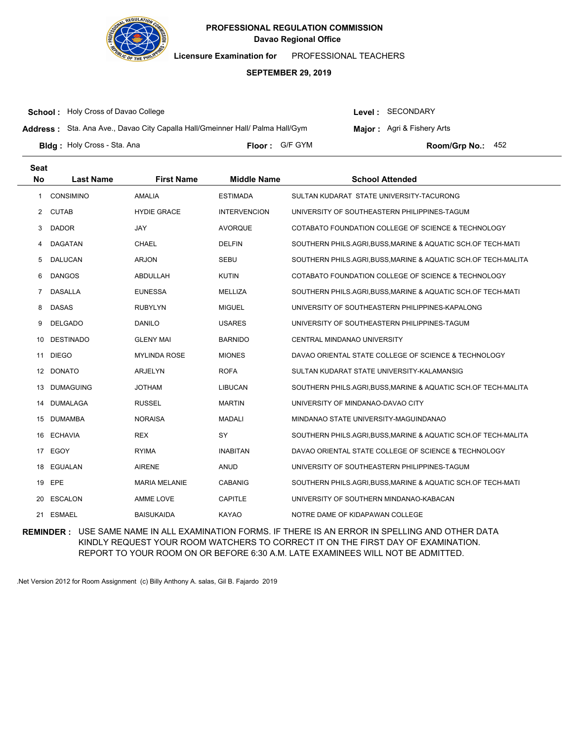

**Licensure Examination for**  PROFESSIONAL TEACHERS

### **SEPTEMBER 29, 2019**

**School :** Holy Cross of Davao College

Level : SECONDARY

**Address :** Sta. Ana Ave., Davao City Capalla Hall/Gmeinner Hall/ Palma Hall/Gym

**Major:** Agri & Fishery Arts

**Bldg : Floor : Room/Grp No.:** Holy Cross - Sta. Ana **Last Name First Name Middle Name School Attended Seat No** Floor: G/F GYM Room/Grp No.: 452 1 CONSIMINO AMALIA ESTIMADA SULTAN KUDARAT STATE UNIVERSITY-TACURONG 2 CUTAB **HYDIE GRACE INTERVENCION** UNIVERSITY OF SOUTHEASTERN PHILIPPINES-TAGUM 3 DADOR JAY JAY AVORQUE COTABATO FOUNDATION COLLEGE OF SCIENCE & TECHNOLOGY 4 DAGATAN CHAEL DELFIN SOUTHERN PHILS.AGRI,BUSS,MARINE & AQUATIC SCH.OF TECH-MATI 5 DALUCAN ARJON SEBU SEBU SOUTHERN PHILS.AGRI,BUSS,MARINE & AQUATIC SCH.OF TECH-MALITA 6 DANGOS ABDULLAH KUTIN COTABATO FOUNDATION COLLEGE OF SCIENCE & TECHNOLOGY 7 DASALLA EUNESSA MELLIZA SOUTHERN PHILS.AGRI,BUSS,MARINE & AQUATIC SCH.OF TECH-MATI 8 DASAS RUBYLYN MIGUEL UNIVERSITY OF SOUTHEASTERN PHILIPPINES-KAPALONG

| 9   | DELGADO          | <b>DANILO</b>        | <b>USARES</b>   | UNIVERSITY OF SOUTHEASTERN PHILIPPINES-TAGUM                   |
|-----|------------------|----------------------|-----------------|----------------------------------------------------------------|
| 10  | <b>DESTINADO</b> | <b>GLENY MAI</b>     | <b>BARNIDO</b>  | <b>CENTRAL MINDANAO UNIVERSITY</b>                             |
| 11  | <b>DIEGO</b>     | <b>MYLINDA ROSE</b>  | <b>MIONES</b>   | DAVAO ORIENTAL STATE COLLEGE OF SCIENCE & TECHNOLOGY           |
| 12  | DONATO           | ARJELYN              | <b>ROFA</b>     | SULTAN KUDARAT STATE UNIVERSITY-KALAMANSIG                     |
| 13  | <b>DUMAGUING</b> | <b>JOTHAM</b>        | <b>LIBUCAN</b>  | SOUTHERN PHILS.AGRI, BUSS, MARINE & AQUATIC SCH.OF TECH-MALITA |
| 14  | DUMALAGA         | <b>RUSSEL</b>        | <b>MARTIN</b>   | UNIVERSITY OF MINDANAO-DAVAO CITY                              |
| 15  | DUMAMBA          | <b>NORAISA</b>       | <b>MADALI</b>   | MINDANAO STATE UNIVERSITY-MAGUINDANAO                          |
| 16. | <b>ECHAVIA</b>   | <b>REX</b>           | SY              | SOUTHERN PHILS.AGRI, BUSS, MARINE & AQUATIC SCH.OF TECH-MALITA |
| 17  | EGOY             | <b>RYIMA</b>         | <b>INABITAN</b> | DAVAO ORIENTAL STATE COLLEGE OF SCIENCE & TECHNOLOGY           |
| 18  | EGUALAN          | <b>AIRENE</b>        | <b>ANUD</b>     | UNIVERSITY OF SOUTHEASTERN PHILIPPINES-TAGUM                   |
| 19  | EPE              | <b>MARIA MELANIE</b> | <b>CABANIG</b>  | SOUTHERN PHILS.AGRI,BUSS,MARINE & AQUATIC SCH.OF TECH-MATI     |
| 20  | ESCALON          | AMME LOVE            | CAPITLE         | UNIVERSITY OF SOUTHERN MINDANAO-KABACAN                        |
| 21  | ESMAEL           | <b>BAISUKAIDA</b>    | KAYAO           | NOTRE DAME OF KIDAPAWAN COLLEGE                                |

**REMINDER :** USE SAME NAME IN ALL EXAMINATION FORMS. IF THERE IS AN ERROR IN SPELLING AND OTHER DATA KINDLY REQUEST YOUR ROOM WATCHERS TO CORRECT IT ON THE FIRST DAY OF EXAMINATION. REPORT TO YOUR ROOM ON OR BEFORE 6:30 A.M. LATE EXAMINEES WILL NOT BE ADMITTED.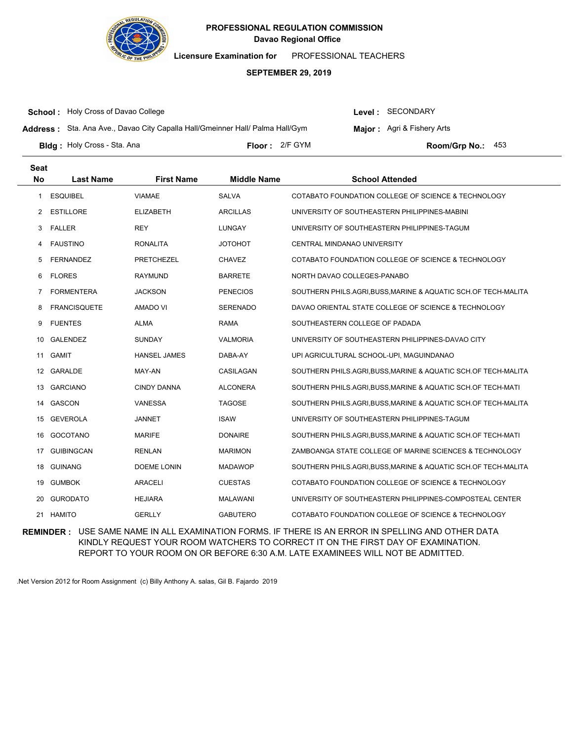

**Licensure Examination for**  PROFESSIONAL TEACHERS

### **SEPTEMBER 29, 2019**

**School :** Holy Cross of Davao College

Level : SECONDARY

**Address :** Sta. Ana Ave., Davao City Capalla Hall/Gmeinner Hall/ Palma Hall/Gym

**Major:** Agri & Fishery Arts

**Bldg :** Holy Cross - Sta. Ana **Communication Communication Communication Communication Communication Communication Communication Communication Communication Communication Communication Communication Communication Communic** Floor: 2/F GYM **Room/Grp No.: 453** 

| <b>Seat</b> |                     |                     |                    |                                                                |
|-------------|---------------------|---------------------|--------------------|----------------------------------------------------------------|
| <b>No</b>   | <b>Last Name</b>    | <b>First Name</b>   | <b>Middle Name</b> | <b>School Attended</b>                                         |
| 1           | <b>ESQUIBEL</b>     | VIAMAE              | <b>SALVA</b>       | COTABATO FOUNDATION COLLEGE OF SCIENCE & TECHNOLOGY            |
| 2           | <b>ESTILLORE</b>    | <b>ELIZABETH</b>    | <b>ARCILLAS</b>    | UNIVERSITY OF SOUTHEASTERN PHILIPPINES-MABINI                  |
| 3           | <b>FALLER</b>       | <b>REY</b>          | LUNGAY             | UNIVERSITY OF SOUTHEASTERN PHILIPPINES-TAGUM                   |
| 4           | <b>FAUSTINO</b>     | <b>RONALITA</b>     | <b>JOTOHOT</b>     | CENTRAL MINDANAO UNIVERSITY                                    |
| 5           | <b>FERNANDEZ</b>    | <b>PRETCHEZEL</b>   | <b>CHAVEZ</b>      | COTABATO FOUNDATION COLLEGE OF SCIENCE & TECHNOLOGY            |
| 6           | <b>FLORES</b>       | <b>RAYMUND</b>      | <b>BARRETE</b>     | NORTH DAVAO COLLEGES-PANABO                                    |
| 7           | <b>FORMENTERA</b>   | <b>JACKSON</b>      | <b>PENECIOS</b>    | SOUTHERN PHILS.AGRI, BUSS, MARINE & AQUATIC SCH.OF TECH-MALITA |
| 8           | <b>FRANCISQUETE</b> | <b>AMADO VI</b>     | <b>SERENADO</b>    | DAVAO ORIENTAL STATE COLLEGE OF SCIENCE & TECHNOLOGY           |
| 9           | <b>FUENTES</b>      | ALMA                | <b>RAMA</b>        | SOUTHEASTERN COLLEGE OF PADADA                                 |
| 10          | <b>GALENDEZ</b>     | <b>SUNDAY</b>       | <b>VALMORIA</b>    | UNIVERSITY OF SOUTHEASTERN PHILIPPINES-DAVAO CITY              |
| 11          | <b>GAMIT</b>        | <b>HANSEL JAMES</b> | DABA-AY            | UPI AGRICULTURAL SCHOOL-UPI, MAGUINDANAO                       |
| 12          | <b>GARALDE</b>      | MAY-AN              | CASILAGAN          | SOUTHERN PHILS.AGRI, BUSS, MARINE & AQUATIC SCH.OF TECH-MALITA |
| 13          | <b>GARCIANO</b>     | <b>CINDY DANNA</b>  | <b>ALCONERA</b>    | SOUTHERN PHILS.AGRI,BUSS,MARINE & AQUATIC SCH.OF TECH-MATI     |
| 14          | GASCON              | VANESSA             | <b>TAGOSE</b>      | SOUTHERN PHILS.AGRI, BUSS, MARINE & AQUATIC SCH.OF TECH-MALITA |
| 15          | <b>GEVEROLA</b>     | <b>JANNET</b>       | <b>ISAW</b>        | UNIVERSITY OF SOUTHEASTERN PHILIPPINES-TAGUM                   |
| 16          | <b>GOCOTANO</b>     | <b>MARIFE</b>       | <b>DONAIRE</b>     | SOUTHERN PHILS.AGRI.BUSS,MARINE & AQUATIC SCH.OF TECH-MATI     |
| 17          | <b>GUIBINGCAN</b>   | <b>RENLAN</b>       | <b>MARIMON</b>     | ZAMBOANGA STATE COLLEGE OF MARINE SCIENCES & TECHNOLOGY        |
| 18          | <b>GUINANG</b>      | <b>DOEME LONIN</b>  | <b>MADAWOP</b>     | SOUTHERN PHILS.AGRI,BUSS,MARINE & AQUATIC SCH.OF TECH-MALITA   |
| 19          | <b>GUMBOK</b>       | <b>ARACELI</b>      | <b>CUESTAS</b>     | COTABATO FOUNDATION COLLEGE OF SCIENCE & TECHNOLOGY            |
| 20          | <b>GURODATO</b>     | <b>HEJIARA</b>      | <b>MALAWANI</b>    | UNIVERSITY OF SOUTHEASTERN PHILIPPINES-COMPOSTEAL CENTER       |
|             | 21 HAMITO           | <b>GERLLY</b>       | <b>GABUTERO</b>    | COTABATO FOUNDATION COLLEGE OF SCIENCE & TECHNOLOGY            |

**REMINDER :** USE SAME NAME IN ALL EXAMINATION FORMS. IF THERE IS AN ERROR IN SPELLING AND OTHER DATA KINDLY REQUEST YOUR ROOM WATCHERS TO CORRECT IT ON THE FIRST DAY OF EXAMINATION. REPORT TO YOUR ROOM ON OR BEFORE 6:30 A.M. LATE EXAMINEES WILL NOT BE ADMITTED.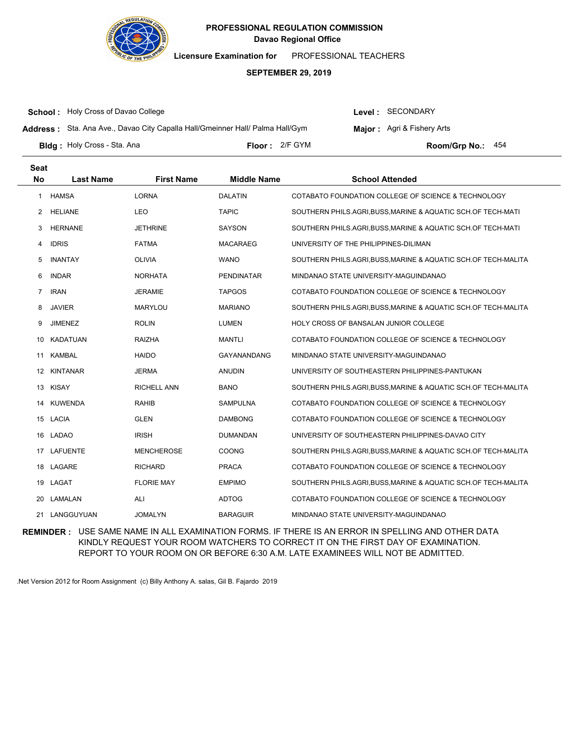

**Licensure Examination for**  PROFESSIONAL TEACHERS

### **SEPTEMBER 29, 2019**

**School :** Holy Cross of Davao College

Level : SECONDARY

**Major:** Agri & Fishery Arts

**Address :** Sta. Ana Ave., Davao City Capalla Hall/Gmeinner Hall/ Palma Hall/Gym

**Bldg :** Holy Cross - Sta. Ana **Communication Communication Communication Communication Communication Communication Communication Communication Communication Communication Communication Communication Communication Communic** Floor: 2/F GYM Room/Gro No.: 454

**Last Name First Name Middle Name School Attended Seat No** 1 HAMSA LORNA DALATIN COTABATO FOUNDATION COLLEGE OF SCIENCE & TECHNOLOGY 2 HELIANE LEO TAPIC SOUTHERN PHILS.AGRI,BUSS,MARINE & AQUATIC SCH.OF TECH-MATI 3 HERNANE JETHRINE SAYSON SOUTHERN PHILS.AGRI,BUSS,MARINE & AQUATIC SCH.OF TECH-MATI 4 IDRIS FATMA MACARAEG UNIVERSITY OF THE PHILIPPINES-DILIMAN 5 INANTAY OLIVIA WANO SOUTHERN PHILS.AGRI,BUSS,MARINE & AQUATIC SCH.OF TECH-MALITA 6 INDAR NORHATA PENDINATAR MINDANAO STATE UNIVERSITY-MAGUINDANAO 7 IRAN JERAMIE TAPGOS COTABATO FOUNDATION COLLEGE OF SCIENCE & TECHNOLOGY 8 JAVIER MARYLOU MARIANO SOUTHERN PHILS.AGRI,BUSS,MARINE & AQUATIC SCH.OF TECH-MALITA 9 JIMENEZ ROLIN LUMEN HOLY CROSS OF BANSALAN JUNIOR COLLEGE 10 KADATUAN RAIZHA MANTLI COTABATO FOUNDATION COLLEGE OF SCIENCE & TECHNOLOGY 11 KAMBAL HAIDO GAYANANDANG MINDANAO STATE UNIVERSITY-MAGUINDANAO 12 KINTANAR JERMA ANUDIN UNIVERSITY OF SOUTHEASTERN PHILIPPINES-PANTUKAN 13 KISAY RICHELL ANN BANO SOUTHERN PHILS.AGRI,BUSS,MARINE & AQUATIC SCH.OF TECH-MALITA 14 KUWENDA RAHIB SAMPULNA COTABATO FOUNDATION COLLEGE OF SCIENCE & TECHNOLOGY 15 LACIA GLEN GLEN DAMBONG COTABATO FOUNDATION COLLEGE OF SCIENCE & TECHNOLOGY 16 LADAO IRISH DUMANDAN UNIVERSITY OF SOUTHEASTERN PHILIPPINES-DAVAO CITY 17 LAFUENTE MENCHEROSE COONG SOUTHERN PHILS.AGRI,BUSS,MARINE & AQUATIC SCH.OF TECH-MALITA 18 LAGARE RICHARD PRACA COTABATO FOUNDATION COLLEGE OF SCIENCE & TECHNOLOGY 19 LAGAT FLORIE MAY EMPIMO SOUTHERN PHILS.AGRI,BUSS,MARINE & AQUATIC SCH.OF TECH-MALITA 20 LAMALAN ALI ALI ADTOG COTABATO FOUNDATION COLLEGE OF SCIENCE & TECHNOLOGY 21 LANGGUYUAN JOMALYN BARAGUIR MINDANAO STATE UNIVERSITY-MAGUINDANAO

**REMINDER :** USE SAME NAME IN ALL EXAMINATION FORMS. IF THERE IS AN ERROR IN SPELLING AND OTHER DATA KINDLY REQUEST YOUR ROOM WATCHERS TO CORRECT IT ON THE FIRST DAY OF EXAMINATION. REPORT TO YOUR ROOM ON OR BEFORE 6:30 A.M. LATE EXAMINEES WILL NOT BE ADMITTED.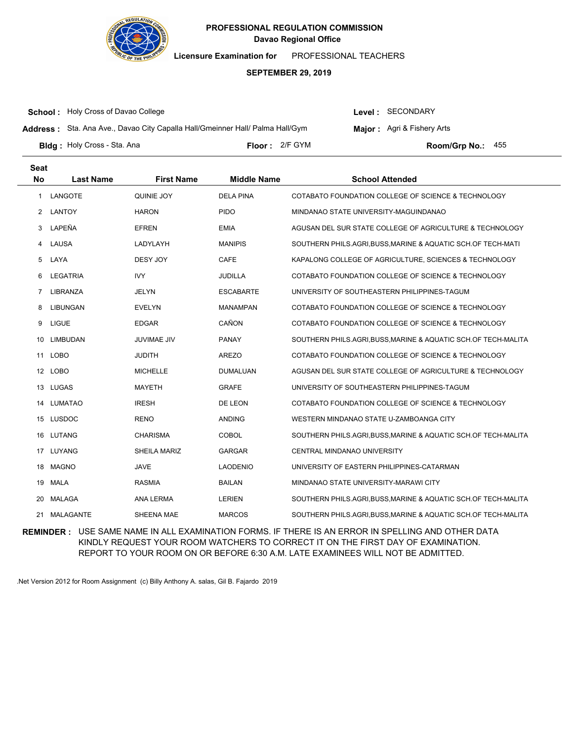

**Licensure Examination for**  PROFESSIONAL TEACHERS

### **SEPTEMBER 29, 2019**

**School :** Holy Cross of Davao College

Level : SECONDARY

**Address :** Sta. Ana Ave., Davao City Capalla Hall/Gmeinner Hall/ Palma Hall/Gym

**Major:** Agri & Fishery Arts

**Bldg :** Holy Cross - Sta. Ana **Communication Communication Communication Communication Communication Communication Communication Communication Communication Communication Communication Communication Communication Communic** Floor: 2/F GYM **Room/Grp No.: 455** 

| <b>Seat</b>    |                  |                    |                    |                                                                |
|----------------|------------------|--------------------|--------------------|----------------------------------------------------------------|
| <b>No</b>      | <b>Last Name</b> | <b>First Name</b>  | <b>Middle Name</b> | <b>School Attended</b>                                         |
| 1              | LANGOTE          | QUINIE JOY         | <b>DELA PINA</b>   | COTABATO FOUNDATION COLLEGE OF SCIENCE & TECHNOLOGY            |
| 2              | <b>LANTOY</b>    | <b>HARON</b>       | <b>PIDO</b>        | MINDANAO STATE UNIVERSITY-MAGUINDANAO                          |
| 3              | LAPEÑA           | <b>EFREN</b>       | <b>EMIA</b>        | AGUSAN DEL SUR STATE COLLEGE OF AGRICULTURE & TECHNOLOGY       |
| 4              | LAUSA            | LADYLAYH           | <b>MANIPIS</b>     | SOUTHERN PHILS.AGRI, BUSS, MARINE & AQUATIC SCH.OF TECH-MATI   |
| 5              | LAYA             | <b>DESY JOY</b>    | CAFE               | KAPALONG COLLEGE OF AGRICULTURE, SCIENCES & TECHNOLOGY         |
| 6              | LEGATRIA         | <b>IVY</b>         | <b>JUDILLA</b>     | COTABATO FOUNDATION COLLEGE OF SCIENCE & TECHNOLOGY            |
| $\overline{7}$ | <b>LIBRANZA</b>  | <b>JELYN</b>       | <b>ESCABARTE</b>   | UNIVERSITY OF SOUTHEASTERN PHILIPPINES-TAGUM                   |
| 8              | LIBUNGAN         | <b>EVELYN</b>      | <b>MANAMPAN</b>    | COTABATO FOUNDATION COLLEGE OF SCIENCE & TECHNOLOGY            |
| 9              | <b>LIGUE</b>     | <b>EDGAR</b>       | CAÑON              | COTABATO FOUNDATION COLLEGE OF SCIENCE & TECHNOLOGY            |
| 10             | <b>LIMBUDAN</b>  | <b>JUVIMAE JIV</b> | <b>PANAY</b>       | SOUTHERN PHILS.AGRI, BUSS, MARINE & AQUATIC SCH.OF TECH-MALITA |
| 11             | <b>LOBO</b>      | <b>JUDITH</b>      | <b>AREZO</b>       | COTABATO FOUNDATION COLLEGE OF SCIENCE & TECHNOLOGY            |
|                | 12 LOBO          | <b>MICHELLE</b>    | DUMALUAN           | AGUSAN DEL SUR STATE COLLEGE OF AGRICULTURE & TECHNOLOGY       |
| 13             | <b>LUGAS</b>     | <b>MAYETH</b>      | <b>GRAFE</b>       | UNIVERSITY OF SOUTHEASTERN PHILIPPINES-TAGUM                   |
| 14             | <b>LUMATAO</b>   | <b>IRESH</b>       | DE LEON            | COTABATO FOUNDATION COLLEGE OF SCIENCE & TECHNOLOGY            |
|                | 15 LUSDOC        | <b>RENO</b>        | <b>ANDING</b>      | WESTERN MINDANAO STATE U-ZAMBOANGA CITY                        |
| 16             | LUTANG           | <b>CHARISMA</b>    | <b>COBOL</b>       | SOUTHERN PHILS.AGRI, BUSS, MARINE & AQUATIC SCH.OF TECH-MALITA |
| 17             | LUYANG           | SHEILA MARIZ       | GARGAR             | CENTRAL MINDANAO UNIVERSITY                                    |
| 18             | <b>MAGNO</b>     | <b>JAVE</b>        | <b>LAODENIO</b>    | UNIVERSITY OF EASTERN PHILIPPINES-CATARMAN                     |
| 19             | <b>MALA</b>      | <b>RASMIA</b>      | <b>BAILAN</b>      | MINDANAO STATE UNIVERSITY-MARAWI CITY                          |
| 20             | <b>MALAGA</b>    | <b>ANA LERMA</b>   | <b>LERIEN</b>      | SOUTHERN PHILS.AGRI, BUSS, MARINE & AQUATIC SCH.OF TECH-MALITA |
| 21             | MALAGANTE        | SHEENA MAE         | <b>MARCOS</b>      | SOUTHERN PHILS.AGRI, BUSS, MARINE & AQUATIC SCH.OF TECH-MALITA |

**REMINDER :** USE SAME NAME IN ALL EXAMINATION FORMS. IF THERE IS AN ERROR IN SPELLING AND OTHER DATA KINDLY REQUEST YOUR ROOM WATCHERS TO CORRECT IT ON THE FIRST DAY OF EXAMINATION. REPORT TO YOUR ROOM ON OR BEFORE 6:30 A.M. LATE EXAMINEES WILL NOT BE ADMITTED.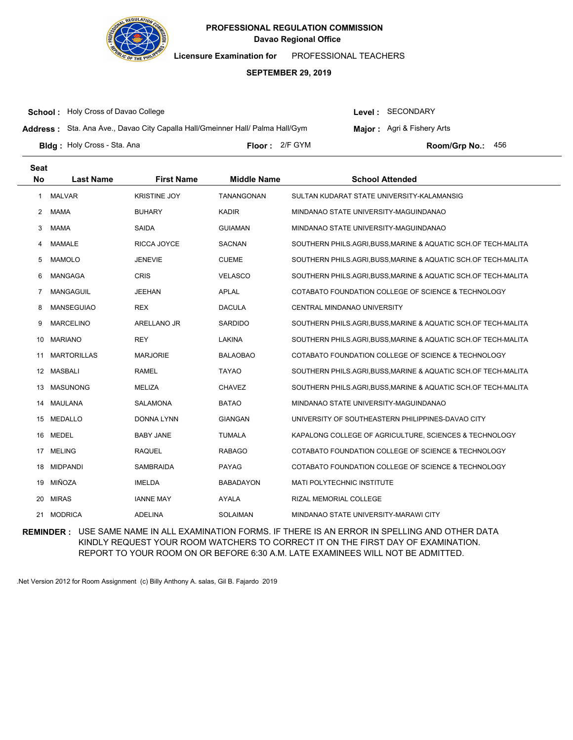

**Licensure Examination for**  PROFESSIONAL TEACHERS

### **SEPTEMBER 29, 2019**

**School :** Holy Cross of Davao College

Level : SECONDARY

**Address :** Sta. Ana Ave., Davao City Capalla Hall/Gmeinner Hall/ Palma Hall/Gym

**Major:** Agri & Fishery Arts

**Bldg :** Holy Cross - Sta. Ana **Communication Communication Communication Communication Communication Communication Communication Communication Communication Communication Communication Communication Communication Communic** 

2/F GYM 456

| <b>Seat</b>      |                    |                     |                    |                                                                |
|------------------|--------------------|---------------------|--------------------|----------------------------------------------------------------|
| <b>No</b>        | <b>Last Name</b>   | <b>First Name</b>   | <b>Middle Name</b> | <b>School Attended</b>                                         |
| 1                | <b>MALVAR</b>      | <b>KRISTINE JOY</b> | TANANGONAN         | SULTAN KUDARAT STATE UNIVERSITY-KALAMANSIG                     |
| 2                | <b>MAMA</b>        | <b>BUHARY</b>       | <b>KADIR</b>       | MINDANAO STATE UNIVERSITY-MAGUINDANAO                          |
| 3                | <b>MAMA</b>        | SAIDA               | <b>GUIAMAN</b>     | MINDANAO STATE UNIVERSITY-MAGUINDANAO                          |
| 4                | <b>MAMALE</b>      | RICCA JOYCE         | SACNAN             | SOUTHERN PHILS.AGRI,BUSS,MARINE & AQUATIC SCH.OF TECH-MALITA   |
| 5                | <b>MAMOLO</b>      | <b>JENEVIE</b>      | <b>CUEME</b>       | SOUTHERN PHILS.AGRI,BUSS,MARINE & AQUATIC SCH.OF TECH-MALITA   |
| 6                | <b>MANGAGA</b>     | <b>CRIS</b>         | <b>VELASCO</b>     | SOUTHERN PHILS.AGRI,BUSS,MARINE & AQUATIC SCH.OF TECH-MALITA   |
| 7                | <b>MANGAGUIL</b>   | <b>JEEHAN</b>       | <b>APLAL</b>       | COTABATO FOUNDATION COLLEGE OF SCIENCE & TECHNOLOGY            |
| 8                | <b>MANSEGUIAO</b>  | <b>REX</b>          | <b>DACULA</b>      | CENTRAL MINDANAO UNIVERSITY                                    |
| 9                | <b>MARCELINO</b>   | ARELLANO JR         | <b>SARDIDO</b>     | SOUTHERN PHILS.AGRI,BUSS,MARINE & AQUATIC SCH.OF TECH-MALITA   |
| 10               | <b>MARIANO</b>     | <b>REY</b>          | <b>LAKINA</b>      | SOUTHERN PHILS.AGRI, BUSS, MARINE & AQUATIC SCH.OF TECH-MALITA |
| 11               | <b>MARTORILLAS</b> | <b>MARJORIE</b>     | <b>BALAOBAO</b>    | COTABATO FOUNDATION COLLEGE OF SCIENCE & TECHNOLOGY            |
| 12 <sup>12</sup> | MASBALI            | RAMEL               | <b>TAYAO</b>       | SOUTHERN PHILS.AGRI, BUSS, MARINE & AQUATIC SCH.OF TECH-MALITA |
| 13               | <b>MASUNONG</b>    | MELIZA              | <b>CHAVEZ</b>      | SOUTHERN PHILS.AGRI, BUSS, MARINE & AQUATIC SCH.OF TECH-MALITA |
| 14               | MAULANA            | SALAMONA            | <b>BATAO</b>       | MINDANAO STATE UNIVERSITY-MAGUINDANAO                          |
| 15               | <b>MEDALLO</b>     | DONNA LYNN          | <b>GIANGAN</b>     | UNIVERSITY OF SOUTHEASTERN PHILIPPINES-DAVAO CITY              |
| 16               | <b>MEDEL</b>       | <b>BABY JANE</b>    | <b>TUMALA</b>      | KAPALONG COLLEGE OF AGRICULTURE, SCIENCES & TECHNOLOGY         |
| 17               | <b>MELING</b>      | <b>RAQUEL</b>       | <b>RABAGO</b>      | COTABATO FOUNDATION COLLEGE OF SCIENCE & TECHNOLOGY            |
| 18               | <b>MIDPANDI</b>    | <b>SAMBRAIDA</b>    | <b>PAYAG</b>       | COTABATO FOUNDATION COLLEGE OF SCIENCE & TECHNOLOGY            |
| 19               | MIÑOZA             | <b>IMELDA</b>       | <b>BABADAYON</b>   | <b>MATI POLYTECHNIC INSTITUTE</b>                              |
| 20               | <b>MIRAS</b>       | <b>IANNE MAY</b>    | <b>AYALA</b>       | RIZAL MEMORIAL COLLEGE                                         |
| 21               | <b>MODRICA</b>     | <b>ADELINA</b>      | <b>SOLAIMAN</b>    | MINDANAO STATE UNIVERSITY-MARAWI CITY                          |

**REMINDER :** USE SAME NAME IN ALL EXAMINATION FORMS. IF THERE IS AN ERROR IN SPELLING AND OTHER DATA KINDLY REQUEST YOUR ROOM WATCHERS TO CORRECT IT ON THE FIRST DAY OF EXAMINATION. REPORT TO YOUR ROOM ON OR BEFORE 6:30 A.M. LATE EXAMINEES WILL NOT BE ADMITTED.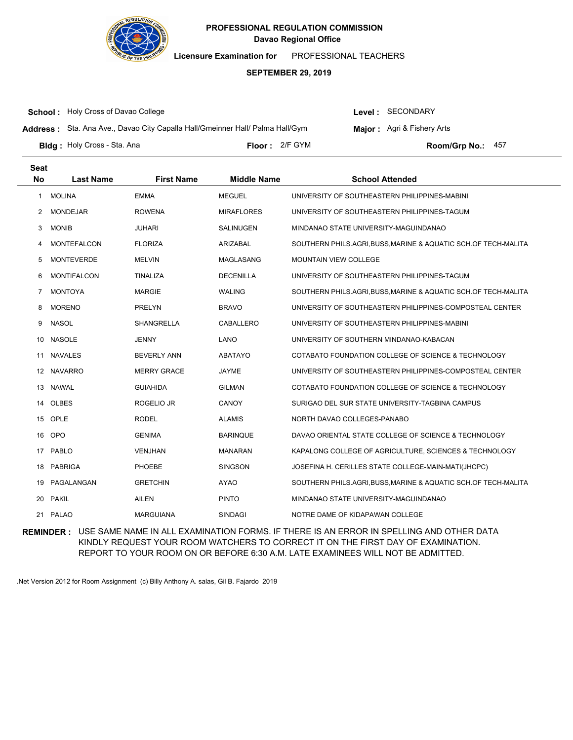

**Licensure Examination for**  PROFESSIONAL TEACHERS

### **SEPTEMBER 29, 2019**

**School :** Holy Cross of Davao College

Level : SECONDARY

**Address :** Sta. Ana Ave., Davao City Capalla Hall/Gmeinner Hall/ Palma Hall/Gym

**Major:** Agri & Fishery Arts

**Bldg :** Holy Cross - Sta. Ana **Communication Communication Communication Communication Communication Communication Communication Communication Communication Communication Communication Communication Communication Communic** 

Floor: 2/F GYM **Room/Grp No.: 457** 

| <b>Seat</b><br>No | <b>Last Name</b>   | <b>First Name</b>  | <b>Middle Name</b> | <b>School Attended</b>                                         |
|-------------------|--------------------|--------------------|--------------------|----------------------------------------------------------------|
| 1                 | <b>MOLINA</b>      | <b>EMMA</b>        | <b>MEGUEL</b>      | UNIVERSITY OF SOUTHEASTERN PHILIPPINES-MABINI                  |
| 2                 | <b>MONDEJAR</b>    | <b>ROWENA</b>      | <b>MIRAFLORES</b>  | UNIVERSITY OF SOUTHEASTERN PHILIPPINES-TAGUM                   |
| 3                 | <b>MONIB</b>       | <b>JUHARI</b>      | <b>SALINUGEN</b>   | MINDANAO STATE UNIVERSITY-MAGUINDANAO                          |
| 4                 | <b>MONTEFALCON</b> | <b>FLORIZA</b>     | ARIZABAL           | SOUTHERN PHILS.AGRI, BUSS, MARINE & AQUATIC SCH.OF TECH-MALITA |
| 5                 | <b>MONTEVERDE</b>  | <b>MELVIN</b>      | MAGLASANG          | <b>MOUNTAIN VIEW COLLEGE</b>                                   |
| 6                 | <b>MONTIFALCON</b> | TINALIZA           | <b>DECENILLA</b>   | UNIVERSITY OF SOUTHEASTERN PHILIPPINES-TAGUM                   |
| 7                 | <b>MONTOYA</b>     | <b>MARGIE</b>      | <b>WALING</b>      | SOUTHERN PHILS.AGRI, BUSS, MARINE & AQUATIC SCH.OF TECH-MALITA |
| 8                 | <b>MORENO</b>      | <b>PRELYN</b>      | <b>BRAVO</b>       | UNIVERSITY OF SOUTHEASTERN PHILIPPINES-COMPOSTEAL CENTER       |
| 9                 | <b>NASOL</b>       | <b>SHANGRELLA</b>  | CABALLERO          | UNIVERSITY OF SOUTHEASTERN PHILIPPINES-MABINI                  |
| 10                | <b>NASOLE</b>      | <b>JENNY</b>       | LANO               | UNIVERSITY OF SOUTHERN MINDANAO-KABACAN                        |
| 11                | <b>NAVALES</b>     | <b>BEVERLY ANN</b> | ABATAYO            | COTABATO FOUNDATION COLLEGE OF SCIENCE & TECHNOLOGY            |
| 12                | <b>NAVARRO</b>     | <b>MERRY GRACE</b> | <b>JAYME</b>       | UNIVERSITY OF SOUTHEASTERN PHILIPPINES-COMPOSTEAL CENTER       |
| 13                | NAWAL              | <b>GUIAHIDA</b>    | <b>GILMAN</b>      | COTABATO FOUNDATION COLLEGE OF SCIENCE & TECHNOLOGY            |
| 14                | <b>OLBES</b>       | ROGELIO JR         | CANOY              | SURIGAO DEL SUR STATE UNIVERSITY-TAGBINA CAMPUS                |
| 15                | OPLE               | <b>RODEL</b>       | <b>ALAMIS</b>      | NORTH DAVAO COLLEGES-PANABO                                    |
| 16                | <b>OPO</b>         | <b>GENIMA</b>      | <b>BARINQUE</b>    | DAVAO ORIENTAL STATE COLLEGE OF SCIENCE & TECHNOLOGY           |
| 17                | <b>PABLO</b>       | <b>VENJHAN</b>     | <b>MANARAN</b>     | KAPALONG COLLEGE OF AGRICULTURE, SCIENCES & TECHNOLOGY         |
| 18                | <b>PABRIGA</b>     | PHOEBE             | <b>SINGSON</b>     | JOSEFINA H. CERILLES STATE COLLEGE-MAIN-MATI(JHCPC)            |
| 19                | PAGALANGAN         | <b>GRETCHIN</b>    | <b>AYAO</b>        | SOUTHERN PHILS.AGRI, BUSS, MARINE & AQUATIC SCH.OF TECH-MALITA |
| 20                | <b>PAKIL</b>       | <b>AILEN</b>       | <b>PINTO</b>       | MINDANAO STATE UNIVERSITY-MAGUINDANAO                          |
|                   | 21 PALAO           | <b>MARGUIANA</b>   | <b>SINDAGI</b>     | NOTRE DAME OF KIDAPAWAN COLLEGE                                |

**REMINDER :** USE SAME NAME IN ALL EXAMINATION FORMS. IF THERE IS AN ERROR IN SPELLING AND OTHER DATA KINDLY REQUEST YOUR ROOM WATCHERS TO CORRECT IT ON THE FIRST DAY OF EXAMINATION. REPORT TO YOUR ROOM ON OR BEFORE 6:30 A.M. LATE EXAMINEES WILL NOT BE ADMITTED.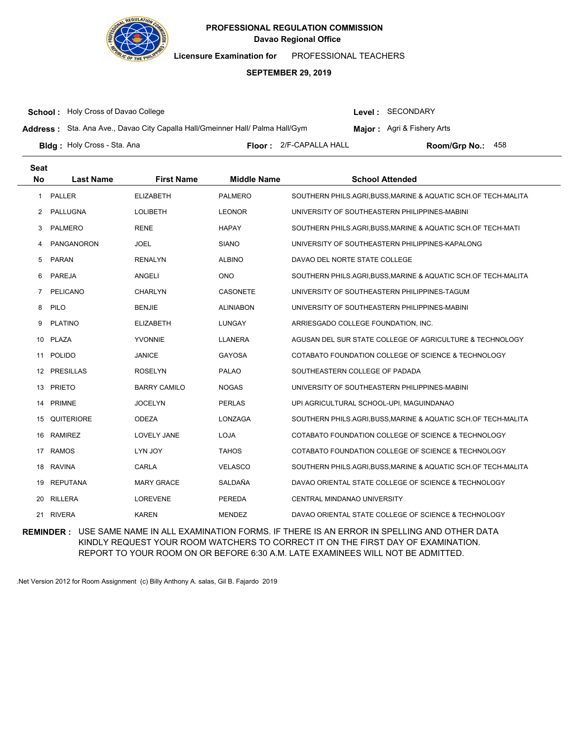

**Licensure Examination for**  PROFESSIONAL TEACHERS

### **SEPTEMBER 29, 2019**

**School :** Holy Cross of Davao College

Level : SECONDARY

**Address :** Sta. Ana Ave., Davao City Capalla Hall/Gmeinner Hall/ Palma Hall/Gym

**Major:** Agri & Fishery Arts

**Bldg :** Holy Cross - Sta. Ana **Container a State of the State of The Floor :** 2/F-CAPALLA HALL **Room/Grp No.:** 

Floor: 2/F-CAPALLA HALL Room/Grp No.: 458

| Seat         |                  |                     |                    |                                                                |
|--------------|------------------|---------------------|--------------------|----------------------------------------------------------------|
| <b>No</b>    | <b>Last Name</b> | <b>First Name</b>   | <b>Middle Name</b> | <b>School Attended</b>                                         |
| $\mathbf{1}$ | <b>PALLER</b>    | <b>ELIZABETH</b>    | <b>PALMERO</b>     | SOUTHERN PHILS.AGRI, BUSS, MARINE & AQUATIC SCH.OF TECH-MALITA |
| $^{2}$       | PALLUGNA         | <b>LOLIBETH</b>     | <b>LEONOR</b>      | UNIVERSITY OF SOUTHEASTERN PHILIPPINES-MABINI                  |
| 3            | <b>PALMERO</b>   | <b>RENE</b>         | <b>HAPAY</b>       | SOUTHERN PHILS.AGRI, BUSS, MARINE & AQUATIC SCH.OF TECH-MATI   |
| 4            | PANGANORON       | <b>JOEL</b>         | <b>SIANO</b>       | UNIVERSITY OF SOUTHEASTERN PHILIPPINES-KAPALONG                |
| 5            | <b>PARAN</b>     | <b>RENALYN</b>      | <b>ALBINO</b>      | DAVAO DEL NORTE STATE COLLEGE                                  |
| 6            | PAREJA           | <b>ANGELI</b>       | <b>ONO</b>         | SOUTHERN PHILS.AGRI,BUSS,MARINE & AQUATIC SCH.OF TECH-MALITA   |
| 7            | <b>PELICANO</b>  | <b>CHARLYN</b>      | CASONETE           | UNIVERSITY OF SOUTHEASTERN PHILIPPINES-TAGUM                   |
| 8            | PILO             | <b>BENJIE</b>       | <b>ALINIABON</b>   | UNIVERSITY OF SOUTHEASTERN PHILIPPINES-MABINI                  |
| 9            | <b>PLATINO</b>   | <b>ELIZABETH</b>    | <b>LUNGAY</b>      | ARRIESGADO COLLEGE FOUNDATION, INC.                            |
| 10           | <b>PLAZA</b>     | <b>YVONNIE</b>      | <b>LLANERA</b>     | AGUSAN DEL SUR STATE COLLEGE OF AGRICULTURE & TECHNOLOGY       |
| 11           | <b>POLIDO</b>    | <b>JANICE</b>       | <b>GAYOSA</b>      | COTABATO FOUNDATION COLLEGE OF SCIENCE & TECHNOLOGY            |
|              | 12 PRESILLAS     | <b>ROSELYN</b>      | <b>PALAO</b>       | SOUTHEASTERN COLLEGE OF PADADA                                 |
| 13           | <b>PRIETO</b>    | <b>BARRY CAMILO</b> | <b>NOGAS</b>       | UNIVERSITY OF SOUTHEASTERN PHILIPPINES-MABINI                  |
| 14           | <b>PRIMNE</b>    | <b>JOCELYN</b>      | <b>PERLAS</b>      | UPI AGRICULTURAL SCHOOL-UPI, MAGUINDANAO                       |
| 15           | QUITERIORE       | <b>ODEZA</b>        | LONZAGA            | SOUTHERN PHILS.AGRI,BUSS,MARINE & AQUATIC SCH.OF TECH-MALITA   |
| 16           | RAMIREZ          | LOVELY JANE         | <b>LOJA</b>        | COTABATO FOUNDATION COLLEGE OF SCIENCE & TECHNOLOGY            |
| 17           | <b>RAMOS</b>     | LYN JOY             | <b>TAHOS</b>       | COTABATO FOUNDATION COLLEGE OF SCIENCE & TECHNOLOGY            |
| 18           | <b>RAVINA</b>    | CARLA               | <b>VELASCO</b>     | SOUTHERN PHILS.AGRI, BUSS, MARINE & AQUATIC SCH.OF TECH-MALITA |
| 19           | REPUTANA         | <b>MARY GRACE</b>   | SALDAÑA            | DAVAO ORIENTAL STATE COLLEGE OF SCIENCE & TECHNOLOGY           |
| 20           | <b>RILLERA</b>   | <b>LOREVENE</b>     | PEREDA             | CENTRAL MINDANAO UNIVERSITY                                    |
|              | 21 RIVERA        | <b>KAREN</b>        | <b>MENDEZ</b>      | DAVAO ORIENTAL STATE COLLEGE OF SCIENCE & TECHNOLOGY           |

**REMINDER :** USE SAME NAME IN ALL EXAMINATION FORMS. IF THERE IS AN ERROR IN SPELLING AND OTHER DATA KINDLY REQUEST YOUR ROOM WATCHERS TO CORRECT IT ON THE FIRST DAY OF EXAMINATION. REPORT TO YOUR ROOM ON OR BEFORE 6:30 A.M. LATE EXAMINEES WILL NOT BE ADMITTED.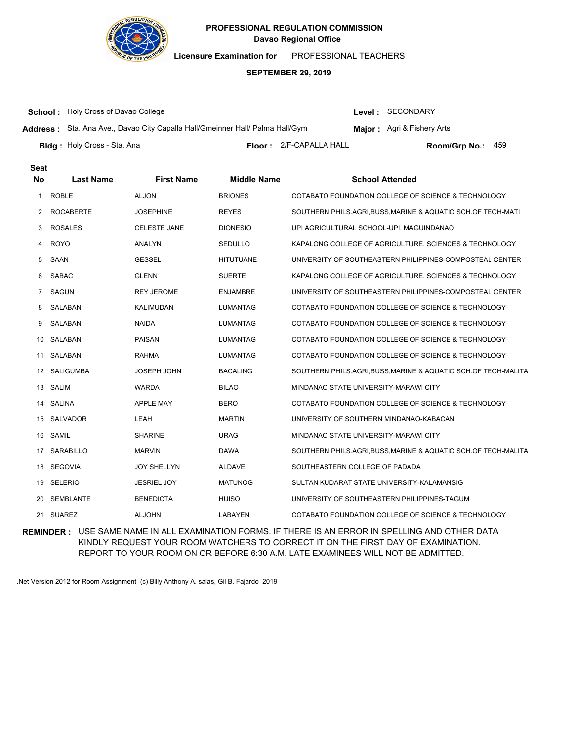

**Licensure Examination for**  PROFESSIONAL TEACHERS

### **SEPTEMBER 29, 2019**

**School :** Holy Cross of Davao College

Level : SECONDARY

**Address :** Sta. Ana Ave., Davao City Capalla Hall/Gmeinner Hall/ Palma Hall/Gym

**Major:** Agri & Fishery Arts

**Bldg :** Holy Cross - Sta. Ana **Container a State of the State of The Floor :** 2/F-CAPALLA HALL **Room/Grp No.:** 

Floor: 2/F-CAPALLA HALL Room/Grp No.: 459

| <b>Seat</b>    |                  |                     |                    |                                                              |
|----------------|------------------|---------------------|--------------------|--------------------------------------------------------------|
| No             | <b>Last Name</b> | <b>First Name</b>   | <b>Middle Name</b> | <b>School Attended</b>                                       |
| 1              | <b>ROBLE</b>     | <b>ALJON</b>        | <b>BRIONES</b>     | COTABATO FOUNDATION COLLEGE OF SCIENCE & TECHNOLOGY          |
| 2              | <b>ROCABERTE</b> | <b>JOSEPHINE</b>    | <b>REYES</b>       | SOUTHERN PHILS.AGRI, BUSS, MARINE & AQUATIC SCH.OF TECH-MATI |
| 3              | <b>ROSALES</b>   | <b>CELESTE JANE</b> | <b>DIONESIO</b>    | UPI AGRICULTURAL SCHOOL-UPI, MAGUINDANAO                     |
| 4              | <b>ROYO</b>      | ANALYN              | SEDULLO            | KAPALONG COLLEGE OF AGRICULTURE, SCIENCES & TECHNOLOGY       |
| 5              | SAAN             | <b>GESSEL</b>       | <b>HITUTUANE</b>   | UNIVERSITY OF SOUTHEASTERN PHILIPPINES-COMPOSTEAL CENTER     |
| 6              | <b>SABAC</b>     | <b>GLENN</b>        | <b>SUERTE</b>      | KAPALONG COLLEGE OF AGRICULTURE, SCIENCES & TECHNOLOGY       |
| $\overline{7}$ | SAGUN            | <b>REY JEROME</b>   | <b>ENJAMBRE</b>    | UNIVERSITY OF SOUTHEASTERN PHILIPPINES-COMPOSTEAL CENTER     |
| 8              | SALABAN          | KALIMUDAN           | <b>LUMANTAG</b>    | COTABATO FOUNDATION COLLEGE OF SCIENCE & TECHNOLOGY          |
| 9              | SALABAN          | <b>NAIDA</b>        | <b>LUMANTAG</b>    | COTABATO FOUNDATION COLLEGE OF SCIENCE & TECHNOLOGY          |
| 10             | SALABAN          | <b>PAISAN</b>       | <b>LUMANTAG</b>    | COTABATO FOUNDATION COLLEGE OF SCIENCE & TECHNOLOGY          |
| 11             | SALABAN          | <b>RAHMA</b>        | <b>LUMANTAG</b>    | COTABATO FOUNDATION COLLEGE OF SCIENCE & TECHNOLOGY          |
| 12             | <b>SALIGUMBA</b> | <b>JOSEPH JOHN</b>  | <b>BACALING</b>    | SOUTHERN PHILS.AGRI,BUSS,MARINE & AQUATIC SCH.OF TECH-MALITA |
| 13             | SALIM            | <b>WARDA</b>        | <b>BILAO</b>       | MINDANAO STATE UNIVERSITY-MARAWI CITY                        |
| 14             | SALINA           | <b>APPLE MAY</b>    | <b>BERO</b>        | COTABATO FOUNDATION COLLEGE OF SCIENCE & TECHNOLOGY          |
| 15             | <b>SALVADOR</b>  | LEAH                | <b>MARTIN</b>      | UNIVERSITY OF SOUTHERN MINDANAO-KABACAN                      |
| 16             | SAMIL            | <b>SHARINE</b>      | <b>URAG</b>        | MINDANAO STATE UNIVERSITY-MARAWI CITY                        |
| 17             | <b>SARABILLO</b> | <b>MARVIN</b>       | <b>DAWA</b>        | SOUTHERN PHILS.AGRI,BUSS,MARINE & AQUATIC SCH.OF TECH-MALITA |
| 18             | <b>SEGOVIA</b>   | <b>JOY SHELLYN</b>  | <b>ALDAVE</b>      | SOUTHEASTERN COLLEGE OF PADADA                               |
| 19             | <b>SELERIO</b>   | <b>JESRIEL JOY</b>  | <b>MATUNOG</b>     | SULTAN KUDARAT STATE UNIVERSITY-KALAMANSIG                   |
| 20             | <b>SEMBLANTE</b> | <b>BENEDICTA</b>    | <b>HUISO</b>       | UNIVERSITY OF SOUTHEASTERN PHILIPPINES-TAGUM                 |
|                | 21 SUAREZ        | <b>ALJOHN</b>       | LABAYEN            | COTABATO FOUNDATION COLLEGE OF SCIENCE & TECHNOLOGY          |

**REMINDER :** USE SAME NAME IN ALL EXAMINATION FORMS. IF THERE IS AN ERROR IN SPELLING AND OTHER DATA KINDLY REQUEST YOUR ROOM WATCHERS TO CORRECT IT ON THE FIRST DAY OF EXAMINATION. REPORT TO YOUR ROOM ON OR BEFORE 6:30 A.M. LATE EXAMINEES WILL NOT BE ADMITTED.